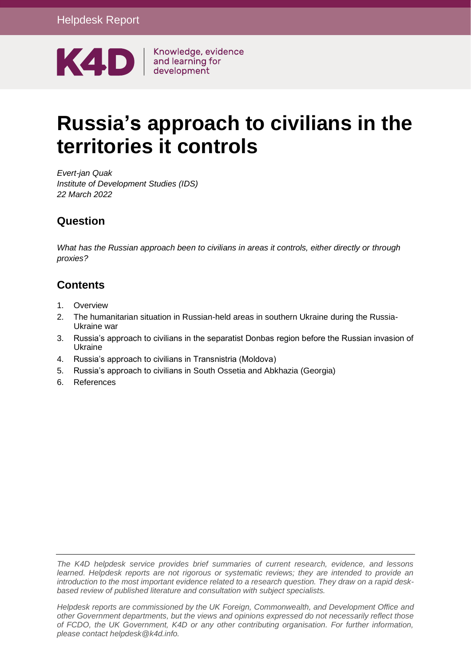

Knowledge, evidence

# **Russia's approach to civilians in the territories it controls**

*Evert-jan Quak Institute of Development Studies (IDS) 22 March 2022*

#### **Question**

*What has the Russian approach been to civilians in areas it controls, either directly or through proxies?*

#### **Contents**

- 1. [Overview](#page-1-0)
- 2. [The humanitarian situation in Russian-held areas in southern Ukraine during the Russia-](#page-1-1)[Ukraine war](#page-1-1)
- 3. [Russia's approach to civilians in the separatist Donbas region before the Russian invasion of](#page-3-0)  [Ukraine](#page-3-0)
- 4. [Russia's approach to civilians in Transnistria \(Moldova\)](#page-5-0)
- 5. [Russia's approach to civilians in South Ossetia and Abkhazia \(Georgia\)](#page-6-0)
- 6. [References](#page-8-0)

*The K4D helpdesk service provides brief summaries of current research, evidence, and lessons learned. Helpdesk reports are not rigorous or systematic reviews; they are intended to provide an introduction to the most important evidence related to a research question. They draw on a rapid deskbased review of published literature and consultation with subject specialists.* 

*Helpdesk reports are commissioned by the UK Foreign, Commonwealth, and Development Office and other Government departments, but the views and opinions expressed do not necessarily reflect those of FCDO, the UK Government, K4D or any other contributing organisation. For further information, please contact helpdesk@k4d.info.*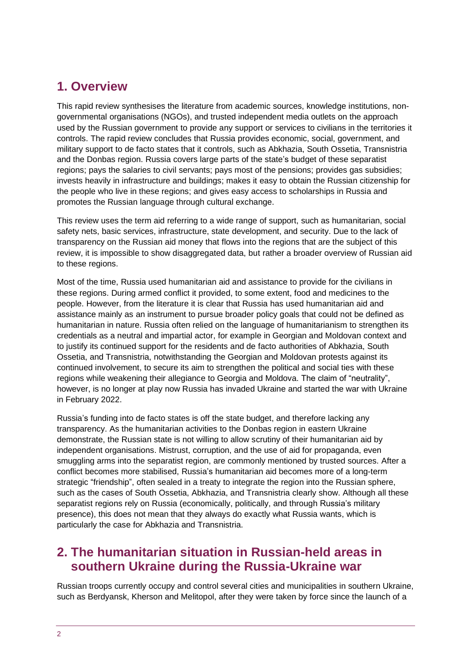# <span id="page-1-0"></span>**1. Overview**

This rapid review synthesises the literature from academic sources, knowledge institutions, nongovernmental organisations (NGOs), and trusted independent media outlets on the approach used by the Russian government to provide any support or services to civilians in the territories it controls. The rapid review concludes that Russia provides economic, social, government, and military support to de facto states that it controls, such as Abkhazia, South Ossetia, Transnistria and the Donbas region. Russia covers large parts of the state's budget of these separatist regions; pays the salaries to civil servants; pays most of the pensions; provides gas subsidies; invests heavily in infrastructure and buildings; makes it easy to obtain the Russian citizenship for the people who live in these regions; and gives easy access to scholarships in Russia and promotes the Russian language through cultural exchange.

This review uses the term aid referring to a wide range of support, such as humanitarian, social safety nets, basic services, infrastructure, state development, and security. Due to the lack of transparency on the Russian aid money that flows into the regions that are the subject of this review, it is impossible to show disaggregated data, but rather a broader overview of Russian aid to these regions.

Most of the time, Russia used humanitarian aid and assistance to provide for the civilians in these regions. During armed conflict it provided, to some extent, food and medicines to the people. However, from the literature it is clear that Russia has used humanitarian aid and assistance mainly as an instrument to pursue broader policy goals that could not be defined as humanitarian in nature. Russia often relied on the language of humanitarianism to strengthen its credentials as a neutral and impartial actor, for example in Georgian and Moldovan context and to justify its continued support for the residents and de facto authorities of Abkhazia, South Ossetia, and Transnistria, notwithstanding the Georgian and Moldovan protests against its continued involvement, to secure its aim to strengthen the political and social ties with these regions while weakening their allegiance to Georgia and Moldova. The claim of "neutrality", however, is no longer at play now Russia has invaded Ukraine and started the war with Ukraine in February 2022.

Russia's funding into de facto states is off the state budget, and therefore lacking any transparency. As the humanitarian activities to the Donbas region in eastern Ukraine demonstrate, the Russian state is not willing to allow scrutiny of their humanitarian aid by independent organisations. Mistrust, corruption, and the use of aid for propaganda, even smuggling arms into the separatist region, are commonly mentioned by trusted sources. After a conflict becomes more stabilised, Russia's humanitarian aid becomes more of a long-term strategic "friendship", often sealed in a treaty to integrate the region into the Russian sphere, such as the cases of South Ossetia, Abkhazia, and Transnistria clearly show. Although all these separatist regions rely on Russia (economically, politically, and through Russia's military presence), this does not mean that they always do exactly what Russia wants, which is particularly the case for Abkhazia and Transnistria.

# <span id="page-1-1"></span>**2. The humanitarian situation in Russian-held areas in southern Ukraine during the Russia-Ukraine war**

Russian troops currently occupy and control several cities and municipalities in southern Ukraine, such as Berdyansk, Kherson and Melitopol, after they were taken by force since the launch of a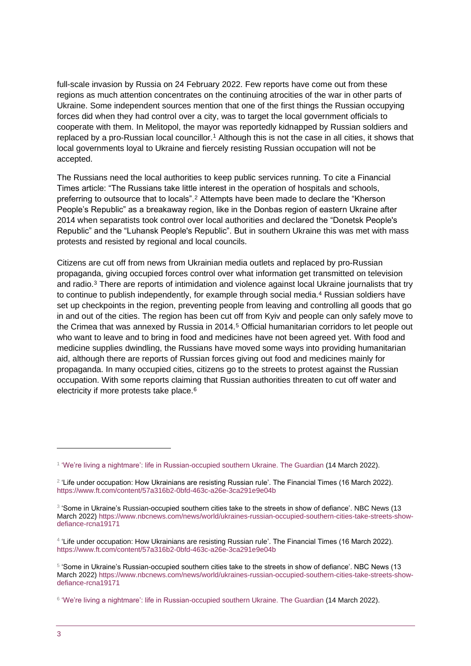full-scale invasion by Russia on 24 February 2022. Few reports have come out from these regions as much attention concentrates on the continuing atrocities of the war in other parts of Ukraine. Some independent sources mention that one of the first things the Russian occupying forces did when they had control over a city, was to target the local government officials to cooperate with them. In Melitopol, the mayor was reportedly kidnapped by Russian soldiers and replaced by a pro-Russian local councillor. <sup>1</sup> Although this is not the case in all cities, it shows that local governments loyal to Ukraine and fiercely resisting Russian occupation will not be accepted.

The Russians need the local authorities to keep public services running. To cite a Financial Times article: "The Russians take little interest in the operation of hospitals and schools, preferring to outsource that to locals".<sup>2</sup> Attempts have been made to declare the "Kherson People's Republic" as a breakaway region, like in the Donbas region of eastern Ukraine after 2014 when separatists took control over local authorities and declared the "Donetsk People's Republic" and the "Luhansk People's Republic". But in southern Ukraine this was met with mass protests and resisted by regional and local councils.

Citizens are cut off from news from Ukrainian media outlets and replaced by pro-Russian propaganda, giving occupied forces control over what information get transmitted on television and radio. <sup>3</sup> There are reports of intimidation and violence against local Ukraine journalists that try to continue to publish independently, for example through social media.<sup>4</sup> Russian soldiers have set up checkpoints in the region, preventing people from leaving and controlling all goods that go in and out of the cities. The region has been cut off from Kyiv and people can only safely move to the Crimea that was annexed by Russia in 2014.<sup>5</sup> Official humanitarian corridors to let people out who want to leave and to bring in food and medicines have not been agreed yet. With food and medicine supplies dwindling, the Russians have moved some ways into providing humanitarian aid, although there are reports of Russian forces giving out food and medicines mainly for propaganda. In many occupied cities, citizens go to the streets to protest against the Russian occupation. With some reports claiming that Russian authorities threaten to cut off water and electricity if more protests take place.<sup>6</sup>

<sup>1</sup> ['We're living a nightmare': life in Russian-occupied southern Ukraine. The Guardian](https://www.theguardian.com/world/2022/mar/14/were-living-a-nightmare-life-in-russian-occupied-southern-ukraine) (14 March 2022).

 $^2$  'Life under occupation: How Ukrainians are resisting Russian rule'. The Financial Times (16 March 2022). <https://www.ft.com/content/57a316b2-0bfd-463c-a26e-3ca291e9e04b>

<sup>&</sup>lt;sup>3</sup> 'Some in Ukraine's Russian-occupied southern cities take to the streets in show of defiance'. NBC News (13 March 2022) [https://www.nbcnews.com/news/world/ukraines-russian-occupied-southern-cities-take-streets-show](https://www.nbcnews.com/news/world/ukraines-russian-occupied-southern-cities-take-streets-show-defiance-rcna19171)[defiance-rcna19171](https://www.nbcnews.com/news/world/ukraines-russian-occupied-southern-cities-take-streets-show-defiance-rcna19171)

<sup>4</sup> 'Life under occupation: How Ukrainians are resisting Russian rule'. The Financial Times (16 March 2022). <https://www.ft.com/content/57a316b2-0bfd-463c-a26e-3ca291e9e04b>

<sup>5</sup> 'Some in Ukraine's Russian-occupied southern cities take to the streets in show of defiance'. NBC News (13 March 2022) [https://www.nbcnews.com/news/world/ukraines-russian-occupied-southern-cities-take-streets-show](https://www.nbcnews.com/news/world/ukraines-russian-occupied-southern-cities-take-streets-show-defiance-rcna19171)[defiance-rcna19171](https://www.nbcnews.com/news/world/ukraines-russian-occupied-southern-cities-take-streets-show-defiance-rcna19171)

<sup>&</sup>lt;sup>6</sup> ['We're living a nightmare': life in Russian-occupied southern Ukraine. The Guardian](https://www.theguardian.com/world/2022/mar/14/were-living-a-nightmare-life-in-russian-occupied-southern-ukraine) (14 March 2022).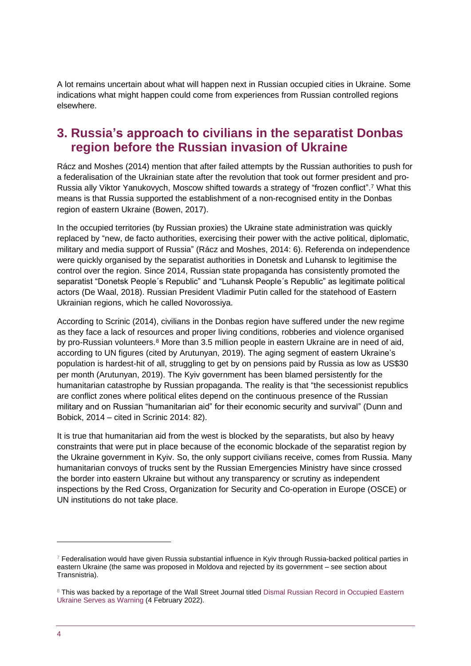A lot remains uncertain about what will happen next in Russian occupied cities in Ukraine. Some indications what might happen could come from experiences from Russian controlled regions elsewhere.

### <span id="page-3-0"></span>**3. Russia's approach to civilians in the separatist Donbas region before the Russian invasion of Ukraine**

Rácz and Moshes (2014) mention that after failed attempts by the Russian authorities to push for a federalisation of the Ukrainian state after the revolution that took out former president and pro-Russia ally Viktor Yanukovych, Moscow shifted towards a strategy of "frozen conflict". <sup>7</sup> What this means is that Russia supported the establishment of a non-recognised entity in the Donbas region of eastern Ukraine (Bowen, 2017).

In the occupied territories (by Russian proxies) the Ukraine state administration was quickly replaced by "new, de facto authorities, exercising their power with the active political, diplomatic, military and media support of Russia" (Rácz and Moshes, 2014: 6). Referenda on independence were quickly organised by the separatist authorities in Donetsk and Luhansk to legitimise the control over the region. Since 2014, Russian state propaganda has consistently promoted the separatist "Donetsk People´s Republic" and "Luhansk People´s Republic" as legitimate political actors (De Waal, 2018). Russian President Vladimir Putin called for the statehood of Eastern Ukrainian regions, which he called Novorossiya.

According to Scrinic (2014), civilians in the Donbas region have suffered under the new regime as they face a lack of resources and proper living conditions, robberies and violence organised by pro-Russian volunteers.<sup>8</sup> More than 3.5 million people in eastern Ukraine are in need of aid, according to UN figures (cited by [Arutunyan,](https://www.crisisgroup.org/who-we-are/people/anna-arutunyan) 2019). The aging segment of eastern Ukraine's population is hardest-hit of all, struggling to get by on pensions paid by Russia as low as US\$30 per month [\(Arutunyan,](https://www.crisisgroup.org/who-we-are/people/anna-arutunyan) 2019). The Kyiv government has been blamed persistently for the humanitarian catastrophe by Russian propaganda. The reality is that "the secessionist republics are conflict zones where political elites depend on the continuous presence of the Russian military and on Russian "humanitarian aid" for their economic security and survival" (Dunn and Bobick, 2014 – cited in Scrinic 2014: 82).

It is true that humanitarian aid from the west is blocked by the separatists, but also by heavy constraints that were put in place because of the economic blockade of the separatist region by the Ukraine government in Kyiv. So, the only support civilians receive, comes from Russia. Many humanitarian convoys of trucks sent by the Russian Emergencies Ministry have since crossed the border into eastern Ukraine but without any transparency or scrutiny as independent inspections by the Red Cross, Organization for Security and Co-operation in Europe (OSCE) or UN institutions do not take place.

 $7$  Federalisation would have given Russia substantial influence in Kyiv through Russia-backed political parties in eastern Ukraine (the same was proposed in Moldova and rejected by its government – see section about Transnistria).

<sup>&</sup>lt;sup>8</sup> This was backed by a reportage of the Wall Street Journal titled Dismal Russian Record in Occupied Eastern [Ukraine Serves as Warning \(](https://www.wsj.com/articles/dismal-russian-record-in-occupied-eastern-ukraine-serves-as-warning-11643988253)4 February 2022).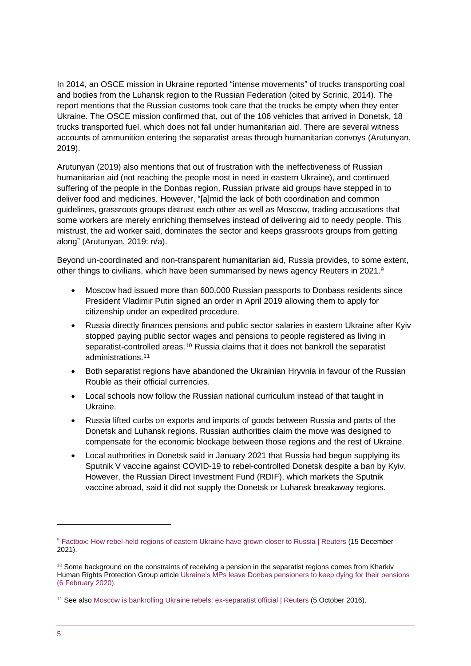In 2014, an OSCE mission in Ukraine reported "intense movements" of trucks transporting coal and bodies from the Luhansk region to the Russian Federation (cited by Scrinic, 2014). The report mentions that the Russian customs took care that the trucks be empty when they enter Ukraine. The OSCE mission confirmed that, out of the 106 vehicles that arrived in Donetsk, 18 trucks transported fuel, which does not fall under humanitarian aid. There are several witness accounts of ammunition entering the separatist areas through humanitarian convoys [\(Arutunyan,](https://www.crisisgroup.org/who-we-are/people/anna-arutunyan) 2019).

Arutunyan (2019) also mentions that out of frustration with the ineffectiveness of Russian humanitarian aid (not reaching the people most in need in eastern Ukraine), and continued suffering of the people in the Donbas region, Russian private aid groups have stepped in to deliver food and medicines. However, "[a]mid the lack of both coordination and common guidelines, grassroots groups distrust each other as well as Moscow, trading accusations that some workers are merely enriching themselves instead of delivering aid to needy people. This mistrust, the aid worker said, dominates the sector and keeps grassroots groups from getting along" [\(Arutunyan,](https://www.crisisgroup.org/who-we-are/people/anna-arutunyan) 2019: n/a).

Beyond un-coordinated and non-transparent humanitarian aid, Russia provides, to some extent, other things to civilians, which have been summarised by news agency Reuters in 2021. 9

- Moscow had issued more than 600,000 Russian passports to Donbass residents since President Vladimir Putin signed an order in April 2019 allowing them to apply for citizenship under an expedited procedure.
- Russia directly finances pensions and public sector salaries in eastern Ukraine after Kyiv stopped paying public sector wages and pensions to people registered as living in separatist-controlled areas.<sup>10</sup> Russia claims that it does not bankroll the separatist administrations.<sup>11</sup>
- Both separatist regions have abandoned the Ukrainian Hryvnia in favour of the Russian Rouble as their official currencies.
- Local schools now follow the Russian national curriculum instead of that taught in Ukraine.
- Russia lifted curbs on exports and imports of goods between Russia and parts of the Donetsk and Luhansk regions. Russian authorities claim the move was designed to compensate for the economic blockage between those regions and the rest of Ukraine.
- Local authorities in Donetsk said in January 2021 that Russia had begun supplying its Sputnik V vaccine against COVID-19 to rebel-controlled Donetsk despite a ban by Kyiv. However, the Russian Direct Investment Fund (RDIF), which markets the Sputnik vaccine abroad, said it did not supply the Donetsk or Luhansk breakaway regions.

<sup>&</sup>lt;sup>9</sup> [Factbox: How rebel-held regions of eastern Ukraine have grown closer to Russia | Reuters](https://www.reuters.com/world/europe/how-rebel-held-regions-eastern-ukraine-have-grown-closer-russia-2021-12-15/) (15 December 2021).

 $10$  Some background on the constraints of receiving a pension in the separatist regions comes from Kharkiv Human Rights Protection Group articl[e Ukraine's MPs leave Donbas pensioners to keep dying for their pensions](https://khpg.org/en/1580942061)  [\(6 February 2020\).](https://khpg.org/en/1580942061)

<sup>11</sup> See als[o Moscow is bankrolling Ukraine rebels: ex-separatist official | Reuters](https://www.reuters.com/article/us-ukraine-crisis-separatists-idUSKCN1251UQ) (5 October 2016).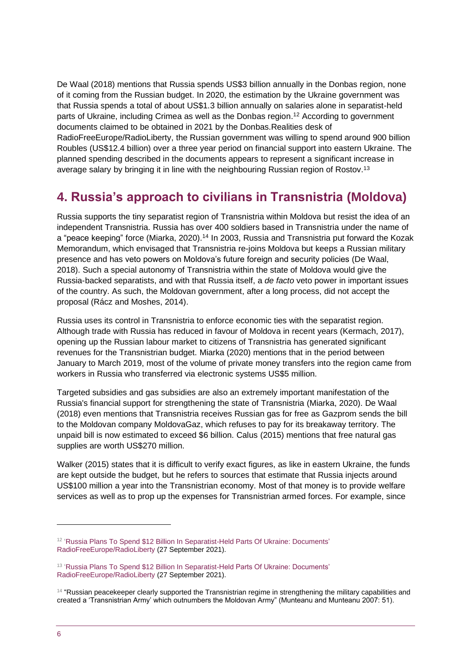De Waal (2018) mentions that Russia spends US\$3 billion annually in the Donbas region, none of it coming from the Russian budget. In 2020, the estimation by the Ukraine government was that Russia spends a total of about US\$1.3 billion annually on salaries alone in separatist-held parts of Ukraine, including Crimea as well as the Donbas region. <sup>12</sup> According to government documents claimed to be obtained in 2021 by the Donbas.Realities desk of RadioFreeEurope/RadioLiberty, the Russian government was willing to spend around 900 billion Roubles (US\$12.4 billion) over a three year period on financial support into eastern Ukraine. The planned spending described in the documents appears to represent a significant increase in average salary by bringing it in line with the neighbouring Russian region of Rostov.<sup>13</sup>

# <span id="page-5-0"></span>**4. Russia's approach to civilians in Transnistria (Moldova)**

Russia supports the tiny separatist region of Transnistria within Moldova but resist the idea of an independent Transnistria. Russia has over 400 soldiers based in Transnistria under the name of a "peace keeping" force (Miarka, 2020).<sup>14</sup> In 2003, Russia and Transnistria put forward the Kozak Memorandum, which envisaged that Transnistria re-joins Moldova but keeps a Russian military presence and has veto powers on Moldova's future foreign and security policies (De Waal, 2018). Such a special autonomy of Transnistria within the state of Moldova would give the Russia-backed separatists, and with that Russia itself, a *de facto* veto power in important issues of the country. As such, the Moldovan government, after a long process, did not accept the proposal (Rácz and Moshes, 2014).

Russia uses its control in Transnistria to enforce economic ties with the separatist region. Although trade with Russia has reduced in favour of Moldova in recent years (Kermach, 2017), opening up the Russian labour market to citizens of Transnistria has generated significant revenues for the Transnistrian budget. Miarka (2020) mentions that in the period between January to March 2019, most of the volume of private money transfers into the region came from workers in Russia who transferred via electronic systems US\$5 million.

Targeted subsidies and gas subsidies are also an extremely important manifestation of the Russia's financial support for strengthening the state of Transnistria (Miarka, 2020). De Waal (2018) even mentions that Transnistria receives Russian gas for free as Gazprom sends the bill to the Moldovan company MoldovaGaz, which refuses to pay for its breakaway territory. The unpaid bill is now estimated to exceed \$6 billion. Calus (2015) mentions that free natural gas supplies are worth US\$270 million.

Walker (2015) states that it is difficult to verify exact figures, as like in eastern Ukraine, the funds are kept outside the budget, but he refers to sources that estimate that Russia injects around US\$100 million a year into the Transnistrian economy. Most of that money is to provide welfare services as well as to prop up the expenses for Transnistrian armed forces. For example, since

<sup>&</sup>lt;sup>12</sup> ['Russia Plans To Spend \\$12 Billion In Separatist-Held Parts Of Ukraine: Documents'](https://www.rferl.org/a/russia-ukraine-donetsk-luhansk-/31479593.html) [RadioFreeEurope/RadioLiberty](https://www.rferl.org/a/russia-ukraine-donetsk-luhansk-/31479593.html) (27 September 2021).

<sup>&</sup>lt;sup>13</sup> 'Russia Plans To Spend \$12 Billion In Separatist-Held Parts Of Ukraine: Documents' [RadioFreeEurope/RadioLiberty](https://www.rferl.org/a/russia-ukraine-donetsk-luhansk-/31479593.html) (27 September 2021).

<sup>&</sup>lt;sup>14</sup> "Russian peacekeeper clearly supported the Transnistrian regime in strengthening the military capabilities and created a 'Transnistrian Army' which outnumbers the Moldovan Army" (Munteanu and Munteanu 2007: 51).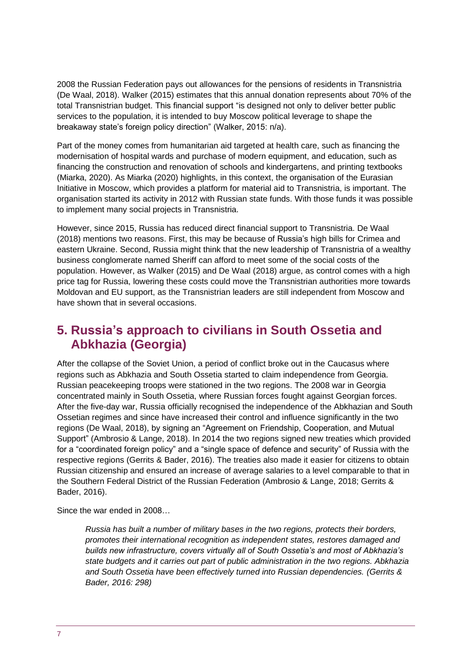2008 the Russian Federation pays out allowances for the pensions of residents in Transnistria (De Waal, 2018). Walker (2015) estimates that this annual donation represents about 70% of the total Transnistrian budget. This financial support "is designed not only to deliver better public services to the population, it is intended to buy Moscow political leverage to shape the breakaway state's foreign policy direction" (Walker, 2015: n/a).

Part of the money comes from humanitarian aid targeted at health care, such as financing the modernisation of hospital wards and purchase of modern equipment, and education, such as financing the construction and renovation of schools and kindergartens, and printing textbooks (Miarka, 2020). As Miarka (2020) highlights, in this context, the organisation of the Eurasian Initiative in Moscow, which provides a platform for material aid to Transnistria, is important. The organisation started its activity in 2012 with Russian state funds. With those funds it was possible to implement many social projects in Transnistria.

However, since 2015, Russia has reduced direct financial support to Transnistria. De Waal (2018) mentions two reasons. First, this may be because of Russia's high bills for Crimea and eastern Ukraine. Second, Russia might think that the new leadership of Transnistria of a wealthy business conglomerate named Sheriff can afford to meet some of the social costs of the population. However, as Walker (2015) and De Waal (2018) argue, as control comes with a high price tag for Russia, lowering these costs could move the Transnistrian authorities more towards Moldovan and EU support, as the Transnistrian leaders are still independent from Moscow and have shown that in several occasions.

# <span id="page-6-0"></span>**5. Russia's approach to civilians in South Ossetia and Abkhazia (Georgia)**

After the collapse of the Soviet Union, a period of conflict broke out in the Caucasus where regions such as Abkhazia and South Ossetia started to claim independence from Georgia. Russian peacekeeping troops were stationed in the two regions. The 2008 war in Georgia concentrated mainly in South Ossetia, where Russian forces fought against Georgian forces. After the five-day war, Russia officially recognised the independence of the Abkhazian and South Ossetian regimes and since have increased their control and influence significantly in the two regions (De Waal, 2018), by signing an "Agreement on Friendship, Cooperation, and Mutual Support" (Ambrosio & Lange, 2018). In 2014 the two regions signed new treaties which provided for a "coordinated foreign policy" and a "single space of defence and security" of Russia with the respective regions (Gerrits & Bader, 2016). The treaties also made it easier for citizens to obtain Russian citizenship and ensured an increase of average salaries to a level comparable to that in the Southern Federal District of the Russian Federation (Ambrosio & Lange, 2018; Gerrits & Bader, 2016).

Since the war ended in 2008…

*Russia has built a number of military bases in the two regions, protects their borders, promotes their international recognition as independent states, restores damaged and builds new infrastructure, covers virtually all of South Ossetia's and most of Abkhazia's state budgets and it carries out part of public administration in the two regions. Abkhazia and South Ossetia have been effectively turned into Russian dependencies. (Gerrits & Bader, 2016: 298)*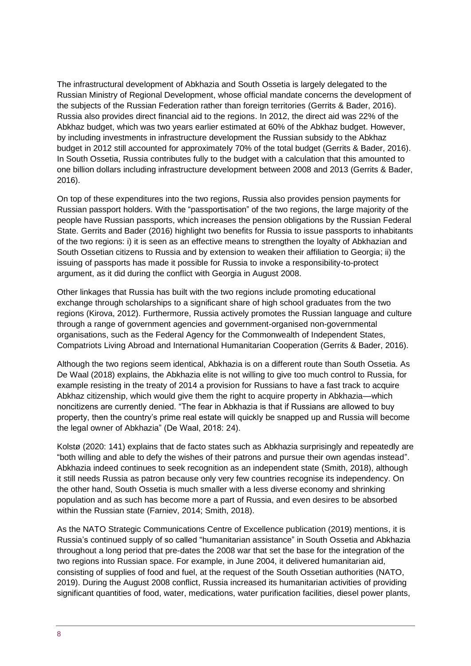The infrastructural development of Abkhazia and South Ossetia is largely delegated to the Russian Ministry of Regional Development, whose official mandate concerns the development of the subjects of the Russian Federation rather than foreign territories (Gerrits & Bader, 2016). Russia also provides direct financial aid to the regions. In 2012, the direct aid was 22% of the Abkhaz budget, which was two years earlier estimated at 60% of the Abkhaz budget. However, by including investments in infrastructure development the Russian subsidy to the Abkhaz budget in 2012 still accounted for approximately 70% of the total budget (Gerrits & Bader, 2016). In South Ossetia, Russia contributes fully to the budget with a calculation that this amounted to one billion dollars including infrastructure development between 2008 and 2013 (Gerrits & Bader, 2016).

On top of these expenditures into the two regions, Russia also provides pension payments for Russian passport holders. With the "passportisation" of the two regions, the large majority of the people have Russian passports, which increases the pension obligations by the Russian Federal State. Gerrits and Bader (2016) highlight two benefits for Russia to issue passports to inhabitants of the two regions: i) it is seen as an effective means to strengthen the loyalty of Abkhazian and South Ossetian citizens to Russia and by extension to weaken their affiliation to Georgia; ii) the issuing of passports has made it possible for Russia to invoke a responsibility-to-protect argument, as it did during the conflict with Georgia in August 2008.

Other linkages that Russia has built with the two regions include promoting educational exchange through scholarships to a significant share of high school graduates from the two regions (Kirova, 2012). Furthermore, Russia actively promotes the Russian language and culture through a range of government agencies and government-organised non-governmental organisations, such as the Federal Agency for the Commonwealth of Independent States, Compatriots Living Abroad and International Humanitarian Cooperation (Gerrits & Bader, 2016).

Although the two regions seem identical, Abkhazia is on a different route than South Ossetia. As De Waal (2018) explains, the Abkhazia elite is not willing to give too much control to Russia, for example resisting in the treaty of 2014 a provision for Russians to have a fast track to acquire Abkhaz citizenship, which would give them the right to acquire property in Abkhazia—which noncitizens are currently denied. "The fear in Abkhazia is that if Russians are allowed to buy property, then the country's prime real estate will quickly be snapped up and Russia will become the legal owner of Abkhazia" (De Waal, 2018: 24).

[Kolstø](https://www.tandfonline.com/author/Kolst%C3%B8%2C+P%C3%A5l) (2020: 141) explains that de facto states such as Abkhazia surprisingly and repeatedly are "both willing and able to defy the wishes of their patrons and pursue their own agendas instead". Abkhazia indeed continues to seek recognition as an independent state (Smith, 2018), although it still needs Russia as patron because only very few countries recognise its independency. On the other hand, South Ossetia is much smaller with a less diverse economy and shrinking population and as such has become more a part of Russia, and even desires to be absorbed within the Russian state (Farniev, 2014; Smith, 2018).

As the NATO Strategic Communications Centre of Excellence publication (2019) mentions, it is Russia's continued supply of so called "humanitarian assistance" in South Ossetia and Abkhazia throughout a long period that pre-dates the 2008 war that set the base for the integration of the two regions into Russian space. For example, in June 2004, it delivered humanitarian aid, consisting of supplies of food and fuel, at the request of the South Ossetian authorities (NATO, 2019). During the August 2008 conflict, Russia increased its humanitarian activities of providing significant quantities of food, water, medications, water purification facilities, diesel power plants,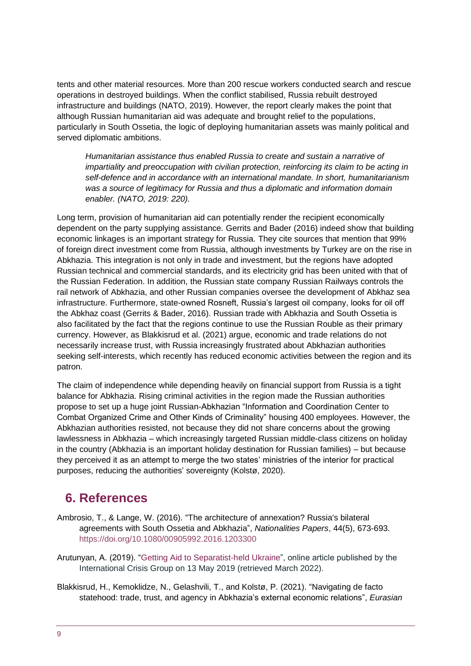tents and other material resources. More than 200 rescue workers conducted search and rescue operations in destroyed buildings. When the conflict stabilised, Russia rebuilt destroyed infrastructure and buildings (NATO, 2019). However, the report clearly makes the point that although Russian humanitarian aid was adequate and brought relief to the populations, particularly in South Ossetia, the logic of deploying humanitarian assets was mainly political and served diplomatic ambitions.

*Humanitarian assistance thus enabled Russia to create and sustain a narrative of impartiality and preoccupation with civilian protection, reinforcing its claim to be acting in self-defence and in accordance with an international mandate. In short, humanitarianism was a source of legitimacy for Russia and thus a diplomatic and information domain enabler. (NATO, 2019: 220).*

Long term, provision of humanitarian aid can potentially render the recipient economically dependent on the party supplying assistance. Gerrits and Bader (2016) indeed show that building economic linkages is an important strategy for Russia. They cite sources that mention that 99% of foreign direct investment come from Russia, although investments by Turkey are on the rise in Abkhazia. This integration is not only in trade and investment, but the regions have adopted Russian technical and commercial standards, and its electricity grid has been united with that of the Russian Federation. In addition, the Russian state company Russian Railways controls the rail network of Abkhazia, and other Russian companies oversee the development of Abkhaz sea infrastructure. Furthermore, state-owned Rosneft, Russia's largest oil company, looks for oil off the Abkhaz coast (Gerrits & Bader, 2016). Russian trade with Abkhazia and South Ossetia is also facilitated by the fact that the regions continue to use the Russian Rouble as their primary currency. However, as [Blakkisrud](https://www.tandfonline.com/author/Blakkisrud%2C+Helge) et al. (2021) argue, economic and trade relations do not necessarily increase trust, with Russia increasingly frustrated about Abkhazian authorities seeking self-interests, which recently has reduced economic activities between the region and its patron.

The claim of independence while depending heavily on financial support from Russia is a tight balance for Abkhazia. Rising criminal activities in the region made the Russian authorities propose to set up a huge joint Russian-Abkhazian "Information and Coordination Center to Combat Organized Crime and Other Kinds of Criminality" housing 400 employees. However, the Abkhazian authorities resisted, not because they did not share concerns about the growing lawlessness in Abkhazia – which increasingly targeted Russian middle-class citizens on holiday in the country (Abkhazia is an important holiday destination for Russian families) – but because they perceived it as an attempt to merge the two states' ministries of the interior for practical purposes, reducing the authorities' sovereignty [\(Kolstø,](https://www.tandfonline.com/author/Kolst%C3%B8%2C+P%C3%A5l) 2020).

## <span id="page-8-0"></span>**6. References**

- Ambrosio, T., & Lange, W. (2016). "The architecture of annexation? Russia's bilateral agreements with South Ossetia and Abkhazia", *Nationalities Papers*, 44(5), 673-693. <https://doi.org/10.1080/00905992.2016.1203300>
- [Arutunyan,](https://www.crisisgroup.org/who-we-are/people/anna-arutunyan) A. (2019). ["Getting Aid to Separatist-held Ukraine"](https://www.crisisgroup.org/europe-central-asia/eastern-europe/ukraine/getting-aid-separatist-held-ukraine), online article published by the International Crisis Group on 13 May 2019 (retrieved March 2022).
- Blakkisrud, H., Kemoklidze, N., Gelashvili, T., and Kolstø, P. (2021). "Navigating de facto statehood: trade, trust, and agency in Abkhazia's external economic relations", *Eurasian*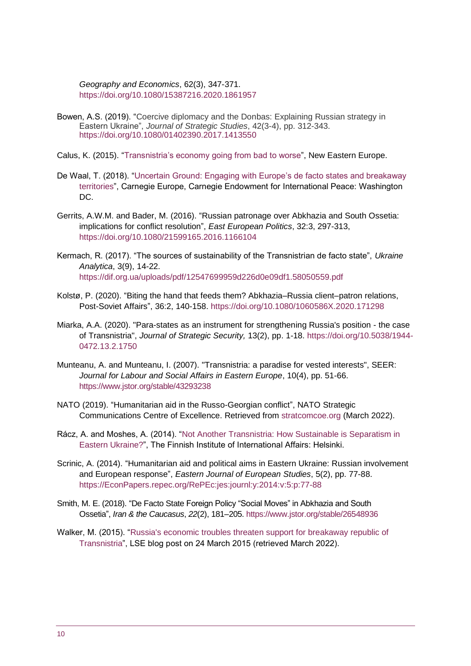*Geography and Economics*, 62(3), 347-371. <https://doi.org/10.1080/15387216.2020.1861957>

- Bowen, A.S. (2019). "Coercive diplomacy and the Donbas: Explaining Russian strategy in Eastern Ukraine", *Journal of Strategic Studies*, 42(3-4), pp. 312-343. <https://doi.org/10.1080/01402390.2017.1413550>
- Calus, K. (2015). ["Transnistria's economy going from bad to worse"](http://www.neweasterneurope.eu/articles-and-commentary/1462-transnistria-s-economy-going-from-bad-to-worse), New Eastern Europe.
- De Waal, T. (2018). ["Uncertain Ground: Engaging with Europe's de facto states and breakaway](https://carnegieeurope.eu/2018/12/03/uncertain-ground-engaging-with-europe-s-de-facto-states-and-breakaway-territories-pub-77823#:~:text=Uncertain%20Ground%3A%20Engaging%20With%20Europe)  [territories"](https://carnegieeurope.eu/2018/12/03/uncertain-ground-engaging-with-europe-s-de-facto-states-and-breakaway-territories-pub-77823#:~:text=Uncertain%20Ground%3A%20Engaging%20With%20Europe), Carnegie Europe, Carnegie Endowment for International Peace: Washington DC.
- Gerrits, A.W.M. and Bader, M. (2016). "Russian patronage over Abkhazia and South Ossetia: implications for conflict resolution", *East European Politics*, 32:3, 297-313, <https://doi.org/10.1080/21599165.2016.1166104>
- Kermach, R. (2017). "The sources of sustainability of the Transnistrian de facto state", *Ukraine Analytica*, 3(9), 14-22. <https://dif.org.ua/uploads/pdf/12547699959d226d0e09df1.58050559.pdf>
- Kolstø, P. (2020). "Biting the hand that feeds them? Abkhazia–Russia client–patron relations, Post-Soviet Affairs", 36:2, 140-158. <https://doi.org/10.1080/1060586X.2020.171298>
- Miarka, A.A. (2020). "Para-states as an instrument for strengthening Russia's position the case of Transnistria", *Journal of Strategic Security,* 13(2), pp. 1-18. [https://doi.org/10.5038/1944-](https://doi.org/10.5038/1944-0472.13.2.1750) [0472.13.2.1750](https://doi.org/10.5038/1944-0472.13.2.1750)
- Munteanu, A. and Munteanu, I. (2007). "Transnistria: a paradise for vested interests", SEER: *Journal for Labour and Social Affairs in Eastern Europe*, 10(4), pp. 51-66. <https://www.jstor.org/stable/43293238>
- NATO (2019). "Humanitarian aid in the Russo-Georgian conflict", NATO Strategic Communications Centre of Excellence. Retrieved from [stratcomcoe.org](https://stratcomcoe.org/cuploads/pfiles/humanitarian_aid_rus_geo.pdf) (March 2022).
- Rácz, A. and Moshes, A. (2014). ["Not Another Transnistria: How Sustainable is Separatism in](https://www.files.ethz.ch/isn/186052/analysis4.pdf)  [Eastern Ukraine?"](https://www.files.ethz.ch/isn/186052/analysis4.pdf), The Finnish Institute of International Affairs: Helsinki.
- Scrinic, A. (2014). "Humanitarian aid and political aims in Eastern Ukraine: Russian involvement and European response", *Eastern Journal of European Studies*, 5(2), pp. 77-88. [https://EconPapers.repec.org/RePEc:jes:journl:y:2014:v:5:p:77-88](https://econpapers.repec.org/RePEc:jes:journl:y:2014:v:5:p:77-88)
- Smith, M. E. (2018). "De Facto State Foreign Policy "Social Moves" in Abkhazia and South Ossetia", *Iran & the Caucasus*, *22*(2), 181–205.<https://www.jstor.org/stable/26548936>
- Walker, M. (2015). ["Russia's economic troubles threaten support for breakaway republic of](https://blogs.lse.ac.uk/lsee/2015/03/24/russias-economic-troubles-threaten-support-for-breakaway-republic-of-transnistria/)  [Transnistria"](https://blogs.lse.ac.uk/lsee/2015/03/24/russias-economic-troubles-threaten-support-for-breakaway-republic-of-transnistria/), LSE blog post on 24 March 2015 (retrieved March 2022).